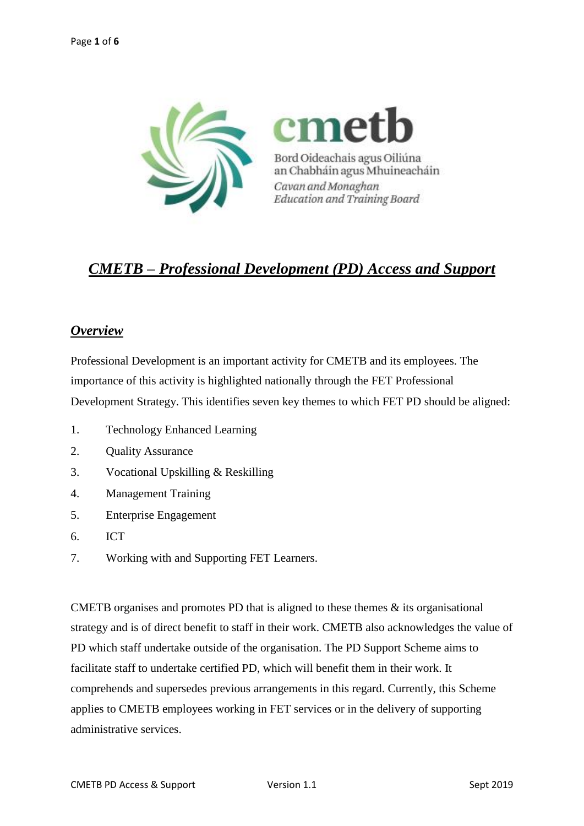

# *CMETB – Professional Development (PD) Access and Support*

# *Overview*

Professional Development is an important activity for CMETB and its employees. The importance of this activity is highlighted nationally through the FET Professional Development Strategy. This identifies seven key themes to which FET PD should be aligned:

- 1. Technology Enhanced Learning
- 2. Quality Assurance
- 3. Vocational Upskilling & Reskilling
- 4. Management Training
- 5. Enterprise Engagement
- 6. ICT
- 7. Working with and Supporting FET Learners.

CMETB organises and promotes PD that is aligned to these themes  $\&$  its organisational strategy and is of direct benefit to staff in their work. CMETB also acknowledges the value of PD which staff undertake outside of the organisation. The PD Support Scheme aims to facilitate staff to undertake certified PD, which will benefit them in their work. It comprehends and supersedes previous arrangements in this regard. Currently, this Scheme applies to CMETB employees working in FET services or in the delivery of supporting administrative services.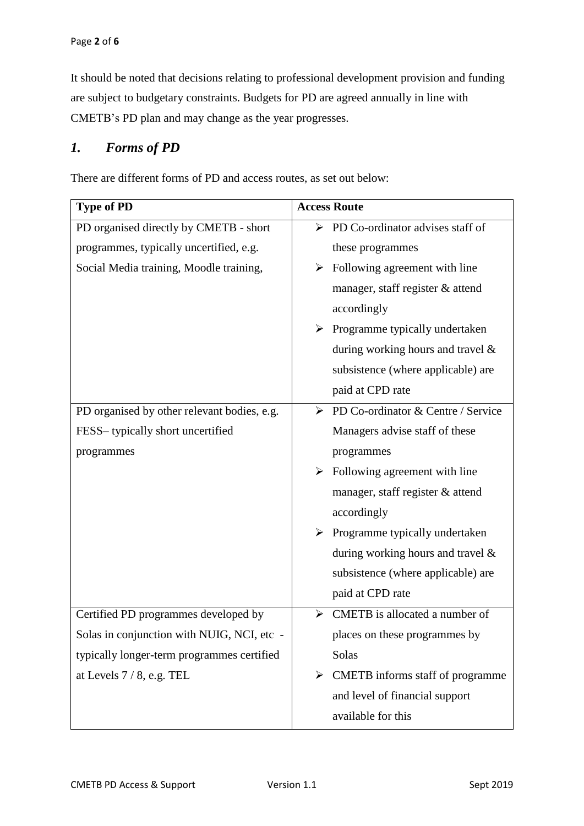It should be noted that decisions relating to professional development provision and funding are subject to budgetary constraints. Budgets for PD are agreed annually in line with CMETB's PD plan and may change as the year progresses.

### *1. Forms of PD*

There are different forms of PD and access routes, as set out below:

| <b>Type of PD</b>                           | <b>Access Route</b>                               |
|---------------------------------------------|---------------------------------------------------|
| PD organised directly by CMETB - short      | $\triangleright$ PD Co-ordinator advises staff of |
| programmes, typically uncertified, e.g.     | these programmes                                  |
| Social Media training, Moodle training,     | Following agreement with line<br>➤                |
|                                             | manager, staff register & attend                  |
|                                             | accordingly                                       |
|                                             | Programme typically undertaken<br>➤               |
|                                             | during working hours and travel $\&$              |
|                                             | subsistence (where applicable) are                |
|                                             | paid at CPD rate                                  |
| PD organised by other relevant bodies, e.g. | PD Co-ordinator & Centre / Service<br>≻           |
| FESS-typically short uncertified            | Managers advise staff of these                    |
| programmes                                  | programmes                                        |
|                                             | Following agreement with line<br>➤                |
|                                             | manager, staff register & attend                  |
|                                             | accordingly                                       |
|                                             | Programme typically undertaken<br>➤               |
|                                             | during working hours and travel $\&$              |
|                                             | subsistence (where applicable) are                |
|                                             | paid at CPD rate                                  |
| Certified PD programmes developed by        | CMETB is allocated a number of<br>≻               |
| Solas in conjunction with NUIG, NCI, etc    | places on these programmes by                     |
| typically longer-term programmes certified  | Solas                                             |
| at Levels $7/8$ , e.g. TEL                  | CMETB informs staff of programme<br>➤             |
|                                             | and level of financial support                    |
|                                             | available for this                                |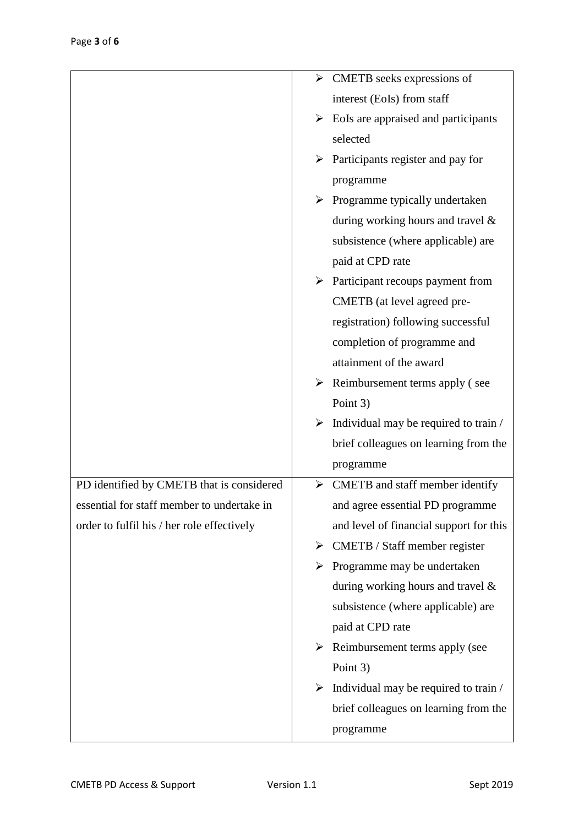| $\triangleright$ CMETB seeks expressions of |
|---------------------------------------------|
| interest (EoIs) from staff                  |
| EoIs are appraised and participants<br>➤    |
| selected                                    |
| Participants register and pay for<br>➤      |
| programme                                   |
| Programme typically undertaken<br>➤         |
| during working hours and travel $\&$        |
| subsistence (where applicable) are          |
| paid at CPD rate                            |
| Participant recoups payment from<br>➤       |
| CMETB (at level agreed pre-                 |
| registration) following successful          |
| completion of programme and                 |
| attainment of the award                     |
| Reimbursement terms apply (see<br>➤         |
| Point 3)                                    |
| Individual may be required to train /<br>➤  |
| brief colleagues on learning from the       |
| programme                                   |
| CMETB and staff member identify<br>➤        |
| and agree essential PD programme            |
| and level of financial support for this     |
| CMETB / Staff member register<br>➤          |
| Programme may be undertaken<br>➤            |
| during working hours and travel $\&$        |
| subsistence (where applicable) are          |
| paid at CPD rate                            |
| Reimbursement terms apply (see<br>➤         |
| Point 3)                                    |
| Individual may be required to train /       |
| brief colleagues on learning from the       |
| programme                                   |
|                                             |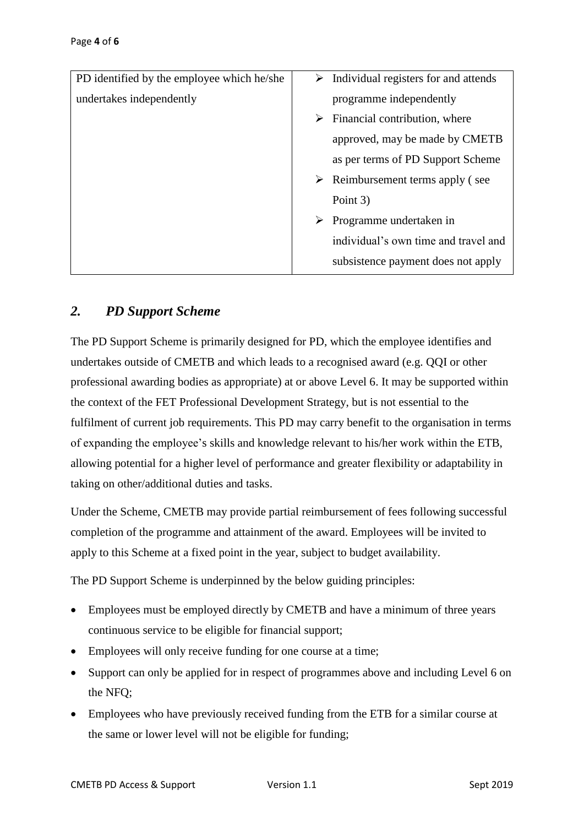| PD identified by the employee which he/she | $\triangleright$ Individual registers for and attends |
|--------------------------------------------|-------------------------------------------------------|
| undertakes independently                   | programme independently                               |
|                                            | Financial contribution, where<br>➤                    |
|                                            | approved, may be made by CMETB                        |
|                                            | as per terms of PD Support Scheme                     |
|                                            | $\triangleright$ Reimbursement terms apply (see       |
|                                            | Point 3)                                              |
|                                            | Programme undertaken in                               |
|                                            | individual's own time and travel and                  |
|                                            | subsistence payment does not apply                    |
|                                            |                                                       |

# *2. PD Support Scheme*

The PD Support Scheme is primarily designed for PD, which the employee identifies and undertakes outside of CMETB and which leads to a recognised award (e.g. QQI or other professional awarding bodies as appropriate) at or above Level 6. It may be supported within the context of the FET Professional Development Strategy, but is not essential to the fulfilment of current job requirements. This PD may carry benefit to the organisation in terms of expanding the employee's skills and knowledge relevant to his/her work within the ETB, allowing potential for a higher level of performance and greater flexibility or adaptability in taking on other/additional duties and tasks.

Under the Scheme, CMETB may provide partial reimbursement of fees following successful completion of the programme and attainment of the award. Employees will be invited to apply to this Scheme at a fixed point in the year, subject to budget availability.

The PD Support Scheme is underpinned by the below guiding principles:

- Employees must be employed directly by CMETB and have a minimum of three years continuous service to be eligible for financial support;
- Employees will only receive funding for one course at a time;
- Support can only be applied for in respect of programmes above and including Level 6 on the NFQ;
- Employees who have previously received funding from the ETB for a similar course at the same or lower level will not be eligible for funding;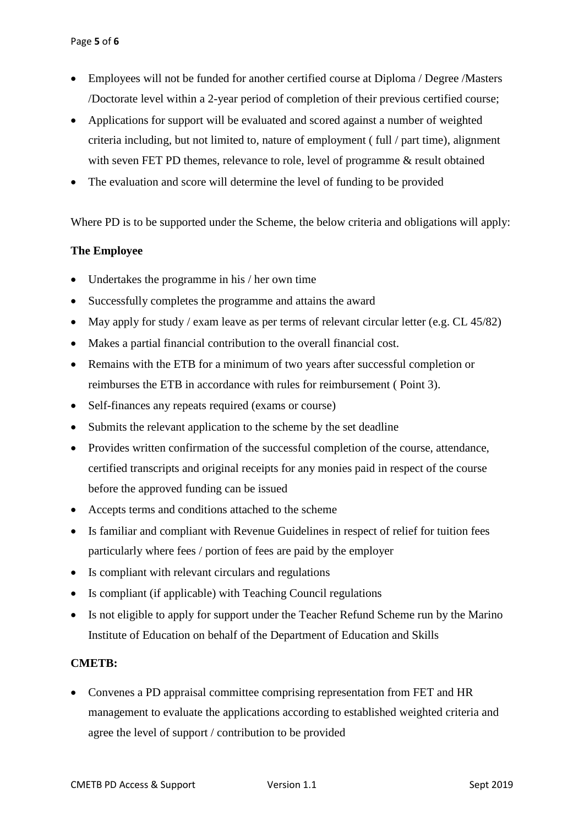- Employees will not be funded for another certified course at Diploma / Degree /Masters /Doctorate level within a 2-year period of completion of their previous certified course;
- Applications for support will be evaluated and scored against a number of weighted criteria including, but not limited to, nature of employment ( full / part time), alignment with seven FET PD themes, relevance to role, level of programme & result obtained
- The evaluation and score will determine the level of funding to be provided

Where PD is to be supported under the Scheme, the below criteria and obligations will apply:

#### **The Employee**

- Undertakes the programme in his / her own time
- Successfully completes the programme and attains the award
- May apply for study / exam leave as per terms of relevant circular letter (e.g. CL 45/82)
- Makes a partial financial contribution to the overall financial cost.
- Remains with the ETB for a minimum of two years after successful completion or reimburses the ETB in accordance with rules for reimbursement ( Point 3).
- Self-finances any repeats required (exams or course)
- Submits the relevant application to the scheme by the set deadline
- Provides written confirmation of the successful completion of the course, attendance, certified transcripts and original receipts for any monies paid in respect of the course before the approved funding can be issued
- Accepts terms and conditions attached to the scheme
- Is familiar and compliant with Revenue Guidelines in respect of relief for tuition fees particularly where fees / portion of fees are paid by the employer
- Is compliant with relevant circulars and regulations
- Is compliant (if applicable) with Teaching Council regulations
- Is not eligible to apply for support under the Teacher Refund Scheme run by the Marino Institute of Education on behalf of the Department of Education and Skills

#### **CMETB:**

• Convenes a PD appraisal committee comprising representation from FET and HR management to evaluate the applications according to established weighted criteria and agree the level of support / contribution to be provided